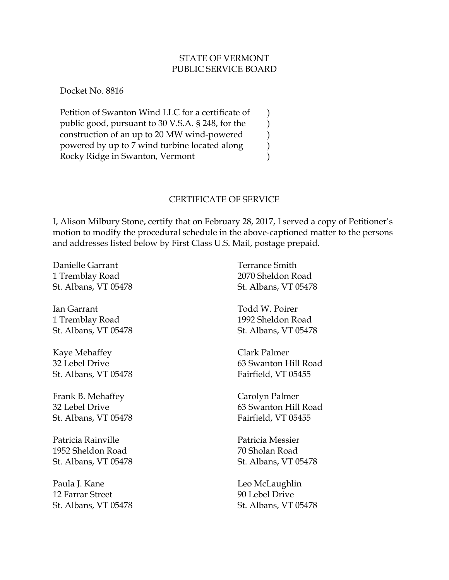## STATE OF VERMONT PUBLIC SERVICE BOARD

Docket No. 8816

Petition of Swanton Wind LLC for a certificate of public good, pursuant to 30 V.S.A. § 248, for the construction of an up to 20 MW wind-powered powered by up to 7 wind turbine located along Rocky Ridge in Swanton, Vermont ) ) ) ) )

## CERTIFICATE OF SERVICE

I, Alison Milbury Stone, certify that on February 28, 2017, I served a copy of Petitioner's motion to modify the procedural schedule in the above-captioned matter to the persons and addresses listed below by First Class U.S. Mail, postage prepaid.

Danielle Garrant 1 Tremblay Road St. Albans, VT 05478

Ian Garrant 1 Tremblay Road St. Albans, VT 05478

Kaye Mehaffey 32 Lebel Drive St. Albans, VT 05478

Frank B. Mehaffey 32 Lebel Drive St. Albans, VT 05478

Patricia Rainville 1952 Sheldon Road St. Albans, VT 05478

Paula J. Kane 12 Farrar Street St. Albans, VT 05478

Terrance Smith 2070 Sheldon Road St. Albans, VT 05478

Todd W. Poirer 1992 Sheldon Road St. Albans, VT 05478

Clark Palmer 63 Swanton Hill Road Fairfield, VT 05455

Carolyn Palmer 63 Swanton Hill Road Fairfield, VT 05455

Patricia Messier 70 Sholan Road St. Albans, VT 05478

Leo McLaughlin 90 Lebel Drive St. Albans, VT 05478